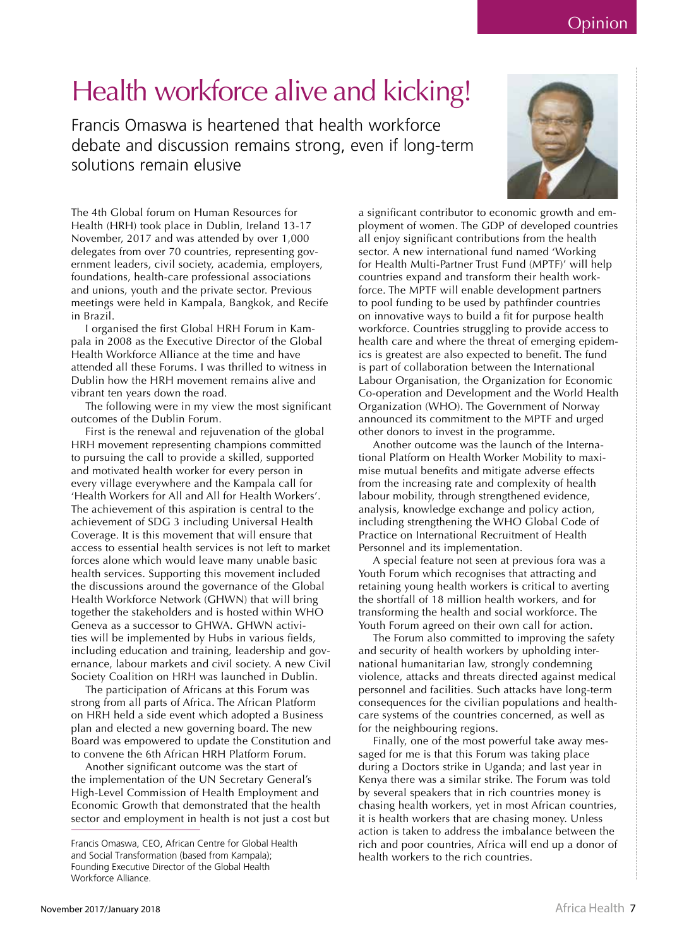Opinion

## Health workforce alive and kicking!

Francis Omaswa is heartened that health workforce debate and discussion remains strong, even if long-term solutions remain elusive



The 4th Global forum on Human Resources for Health (HRH) took place in Dublin, Ireland 13-17 November, 2017 and was attended by over 1,000 delegates from over 70 countries, representing government leaders, civil society, academia, employers, foundations, health-care professional associations and unions, youth and the private sector. Previous meetings were held in Kampala, Bangkok, and Recife in Brazil.

I organised the first Global HRH Forum in Kampala in 2008 as the Executive Director of the Global Health Workforce Alliance at the time and have attended all these Forums. I was thrilled to witness in Dublin how the HRH movement remains alive and vibrant ten years down the road.

The following were in my view the most significant outcomes of the Dublin Forum.

First is the renewal and rejuvenation of the global HRH movement representing champions committed to pursuing the call to provide a skilled, supported and motivated health worker for every person in every village everywhere and the Kampala call for 'Health Workers for All and All for Health Workers'. The achievement of this aspiration is central to the achievement of SDG 3 including Universal Health Coverage. It is this movement that will ensure that access to essential health services is not left to market forces alone which would leave many unable basic health services. Supporting this movement included the discussions around the governance of the Global Health Workforce Network (GHWN) that will bring together the stakeholders and is hosted within WHO Geneva as a successor to GHWA. GHWN activities will be implemented by Hubs in various fields, including education and training, leadership and governance, labour markets and civil society. A new Civil Society Coalition on HRH was launched in Dublin.

The participation of Africans at this Forum was strong from all parts of Africa. The African Platform on HRH held a side event which adopted a Business plan and elected a new governing board. The new Board was empowered to update the Constitution and to convene the 6th African HRH Platform Forum.

Another significant outcome was the start of the implementation of the UN Secretary General's High-Level Commission of Health Employment and Economic Growth that demonstrated that the health sector and employment in health is not just a cost but a significant contributor to economic growth and employment of women. The GDP of developed countries all enjoy significant contributions from the health sector. A new international fund named 'Working for Health Multi-Partner Trust Fund (MPTF)' will help countries expand and transform their health workforce. The MPTF will enable development partners to pool funding to be used by pathfinder countries on innovative ways to build a fit for purpose health workforce. Countries struggling to provide access to health care and where the threat of emerging epidemics is greatest are also expected to benefit. The fund is part of collaboration between the International Labour Organisation, the Organization for Economic Co-operation and Development and the World Health Organization (WHO). The Government of Norway announced its commitment to the MPTF and urged other donors to invest in the programme.

Another outcome was the launch of the International Platform on Health Worker Mobility to maximise mutual benefits and mitigate adverse effects from the increasing rate and complexity of health labour mobility, through strengthened evidence, analysis, knowledge exchange and policy action, including strengthening the WHO Global Code of Practice on International Recruitment of Health Personnel and its implementation.

A special feature not seen at previous fora was a Youth Forum which recognises that attracting and retaining young health workers is critical to averting the shortfall of 18 million health workers, and for transforming the health and social workforce. The Youth Forum agreed on their own call for action.

The Forum also committed to improving the safety and security of health workers by upholding international humanitarian law, strongly condemning violence, attacks and threats directed against medical personnel and facilities. Such attacks have long-term consequences for the civilian populations and healthcare systems of the countries concerned, as well as for the neighbouring regions.

Finally, one of the most powerful take away messaged for me is that this Forum was taking place during a Doctors strike in Uganda; and last year in Kenya there was a similar strike. The Forum was told by several speakers that in rich countries money is chasing health workers, yet in most African countries, it is health workers that are chasing money. Unless action is taken to address the imbalance between the rich and poor countries, Africa will end up a donor of health workers to the rich countries.

Francis Omaswa, CFO, African Centre for Global Health and Social Transformation (based from Kampala); Founding Executive Director of the Global Health Workforce Alliance.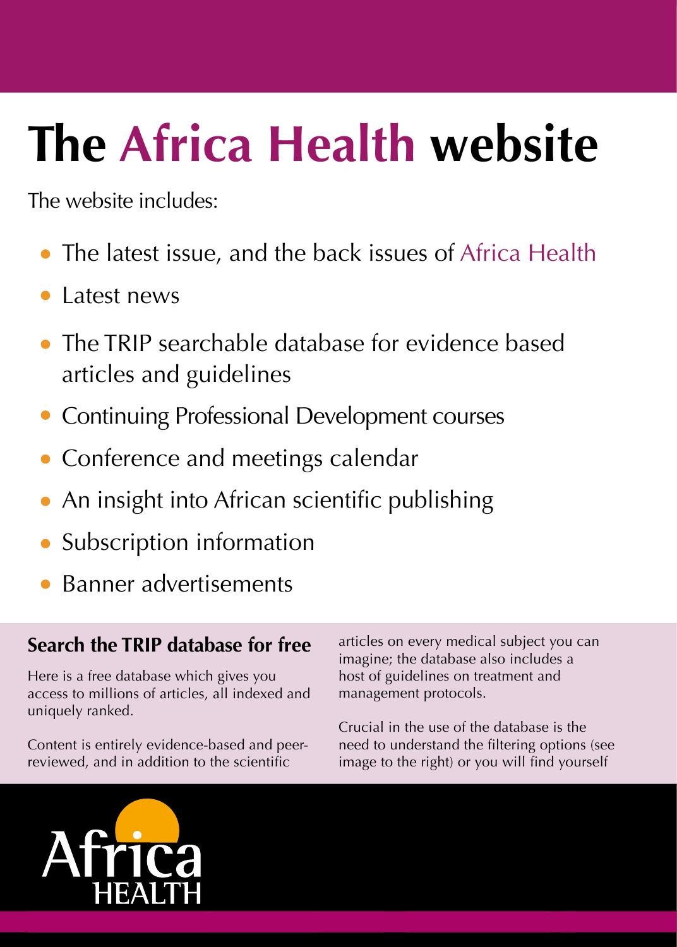# The Africa Health website

The website includes:

- The latest issue, and the back issues of Africa Health  $\bullet$
- Latest news
- The TRIP searchable database for evidence based articles and guidelines
- **Continuing Professional Development courses**
- Conference and meetings calendar
- An insight into African scientific publishing
- Subscription information
- Banner advertisements

#### Search the TRIP database for free

Here is a free database which gives you access to millions of articles, all indexed and uniquely ranked.

Content is entirely evidence-based and peerreviewed, and in addition to the scientific

articles on every medical subject you can imagine; the database also includes a host of guidelines on treatment and management protocols.

Crucial in the use of the database is the need to understand the filtering options (see image to the right) or you will find yourself